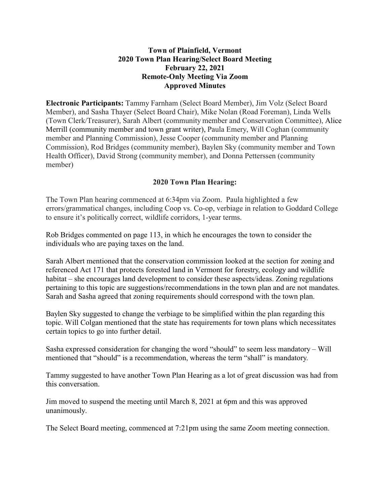# **Town of Plainfield, Vermont 2020 Town Plan Hearing/Select Board Meeting February 22, 2021 Remote-Only Meeting Via Zoom Approved Minutes**

**Electronic Participants:** Tammy Farnham (Select Board Member), Jim Volz (Select Board Member), and Sasha Thayer (Select Board Chair), Mike Nolan (Road Foreman), Linda Wells (Town Clerk/Treasurer), Sarah Albert (community member and Conservation Committee), Alice Merrill (community member and town grant writer), Paula Emery, Will Coghan (community member and Planning Commission), Jesse Cooper (community member and Planning Commission), Rod Bridges (community member), Baylen Sky (community member and Town Health Officer), David Strong (community member), and Donna Petterssen (community member)

# **2020 Town Plan Hearing:**

The Town Plan hearing commenced at 6:34pm via Zoom. Paula highlighted a few errors/grammatical changes, including Coop vs. Co-op, verbiage in relation to Goddard College to ensure it's politically correct, wildlife corridors, 1-year terms.

Rob Bridges commented on page 113, in which he encourages the town to consider the individuals who are paying taxes on the land.

Sarah Albert mentioned that the conservation commission looked at the section for zoning and referenced Act 171 that protects forested land in Vermont for forestry, ecology and wildlife habitat – she encourages land development to consider these aspects/ideas. Zoning regulations pertaining to this topic are suggestions/recommendations in the town plan and are not mandates. Sarah and Sasha agreed that zoning requirements should correspond with the town plan.

Baylen Sky suggested to change the verbiage to be simplified within the plan regarding this topic. Will Colgan mentioned that the state has requirements for town plans which necessitates certain topics to go into further detail.

Sasha expressed consideration for changing the word "should" to seem less mandatory – Will mentioned that "should" is a recommendation, whereas the term "shall" is mandatory.

Tammy suggested to have another Town Plan Hearing as a lot of great discussion was had from this conversation.

Jim moved to suspend the meeting until March 8, 2021 at 6pm and this was approved unanimously.

The Select Board meeting, commenced at 7:21pm using the same Zoom meeting connection.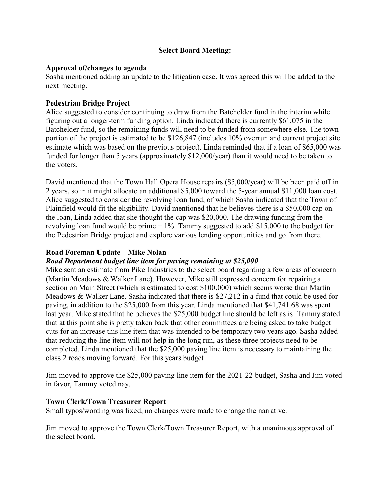# **Select Board Meeting:**

## **Approval of/changes to agenda**

Sasha mentioned adding an update to the litigation case. It was agreed this will be added to the next meeting.

# **Pedestrian Bridge Project**

Alice suggested to consider continuing to draw from the Batchelder fund in the interim while figuring out a longer-term funding option. Linda indicated there is currently \$61,075 in the Batchelder fund, so the remaining funds will need to be funded from somewhere else. The town portion of the project is estimated to be \$126,847 (includes 10% overrun and current project site estimate which was based on the previous project). Linda reminded that if a loan of \$65,000 was funded for longer than 5 years (approximately \$12,000/year) than it would need to be taken to the voters.

David mentioned that the Town Hall Opera House repairs (\$5,000/year) will be been paid off in 2 years, so in it might allocate an additional \$5,000 toward the 5-year annual \$11,000 loan cost. Alice suggested to consider the revolving loan fund, of which Sasha indicated that the Town of Plainfield would fit the eligibility. David mentioned that he believes there is a \$50,000 cap on the loan, Linda added that she thought the cap was \$20,000. The drawing funding from the revolving loan fund would be prime  $+1\%$ . Tammy suggested to add \$15,000 to the budget for the Pedestrian Bridge project and explore various lending opportunities and go from there.

## **Road Foreman Update – Mike Nolan**

#### *Road Department budget line item for paving remaining at \$25,000*

Mike sent an estimate from Pike Industries to the select board regarding a few areas of concern (Martin Meadows & Walker Lane). However, Mike still expressed concern for repairing a section on Main Street (which is estimated to cost \$100,000) which seems worse than Martin Meadows & Walker Lane. Sasha indicated that there is \$27,212 in a fund that could be used for paving, in addition to the \$25,000 from this year. Linda mentioned that \$41,741.68 was spent last year. Mike stated that he believes the \$25,000 budget line should be left as is. Tammy stated that at this point she is pretty taken back that other committees are being asked to take budget cuts for an increase this line item that was intended to be temporary two years ago. Sasha added that reducing the line item will not help in the long run, as these three projects need to be completed. Linda mentioned that the \$25,000 paving line item is necessary to maintaining the class 2 roads moving forward. For this years budget

Jim moved to approve the \$25,000 paving line item for the 2021-22 budget, Sasha and Jim voted in favor, Tammy voted nay.

#### **Town Clerk/Town Treasurer Report**

Small typos/wording was fixed, no changes were made to change the narrative.

Jim moved to approve the Town Clerk/Town Treasurer Report, with a unanimous approval of the select board.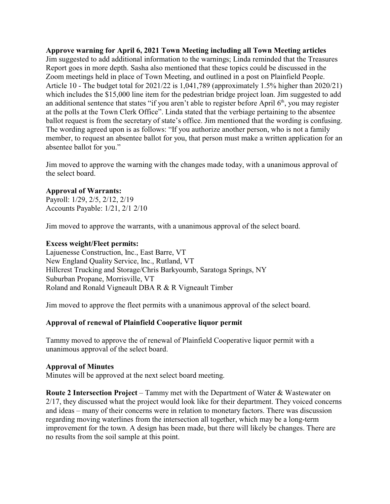**Approve warning for April 6, 2021 Town Meeting including all Town Meeting articles** Jim suggested to add additional information to the warnings; Linda reminded that the Treasures Report goes in more depth. Sasha also mentioned that these topics could be discussed in the Zoom meetings held in place of Town Meeting, and outlined in a post on Plainfield People. Article 10 - The budget total for 2021/22 is 1,041,789 (approximately 1.5% higher than 2020/21) which includes the \$15,000 line item for the pedestrian bridge project loan. Jim suggested to add an additional sentence that states "if you aren't able to register before April  $6<sup>th</sup>$ , you may register at the polls at the Town Clerk Office". Linda stated that the verbiage pertaining to the absentee ballot request is from the secretary of state's office. Jim mentioned that the wording is confusing. The wording agreed upon is as follows: "If you authorize another person, who is not a family member, to request an absentee ballot for you, that person must make a written application for an absentee ballot for you."

Jim moved to approve the warning with the changes made today, with a unanimous approval of the select board.

#### **Approval of Warrants:**

Payroll: 1/29, 2/5, 2/12, 2/19 Accounts Payable: 1/21, 2/1 2/10

Jim moved to approve the warrants, with a unanimous approval of the select board.

#### **Excess weight/Fleet permits:**

Lajuenesse Construction, Inc., East Barre, VT New England Quality Service, Inc., Rutland, VT Hillcrest Trucking and Storage/Chris Barkyoumb, Saratoga Springs, NY Suburban Propane, Morrisville, VT Roland and Ronald Vigneault DBA R & R Vigneault Timber

Jim moved to approve the fleet permits with a unanimous approval of the select board.

#### **Approval of renewal of Plainfield Cooperative liquor permit**

Tammy moved to approve the of renewal of Plainfield Cooperative liquor permit with a unanimous approval of the select board.

#### **Approval of Minutes**

Minutes will be approved at the next select board meeting.

**Route 2 Intersection Project** – Tammy met with the Department of Water & Wastewater on 2/17, they discussed what the project would look like for their department. They voiced concerns and ideas – many of their concerns were in relation to monetary factors. There was discussion regarding moving waterlines from the intersection all together, which may be a long-term improvement for the town. A design has been made, but there will likely be changes. There are no results from the soil sample at this point.